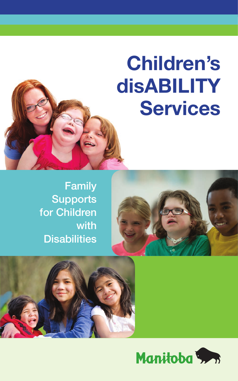# **Children's disABILITY Services**







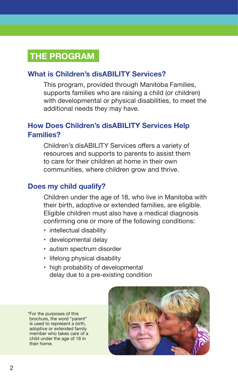# **THE PROGRAM**

#### **What is Children's disABILITY Services?**

This program, provided through Manitoba Families, supports families who are raising a child (or children) with developmental or physical disabilities, to meet the additional needs they may have.

## **How Does Children's disABILITY Services Help Families?**

Children's disABILITY Services offers a variety of resources and supports to parents to assist them to care for their children at home in their own communities, where children grow and thrive.

#### **Does my child qualify?**

Children under the age of 18, who live in Manitoba with their birth, adoptive or extended families, are eligible. Eligible children must also have a medical diagnosis confirming one or more of the following conditions:

- intellectual disability
- developmental delay
- autism spectrum disorder
- lifelong physical disability
- high probability of developmental delay due to a pre-existing condition

\*For the purposes of this brochure, the word "parent" is used to represent a birth, adoptive or extended family member who takes care of a child under the age of 18 in their home.

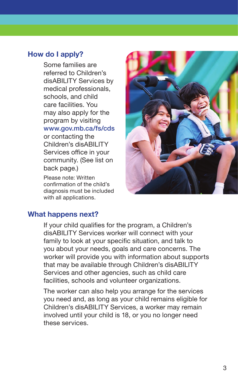#### **How do I apply?**

Some families are referred to Children's disABILITY Services by medical professionals, schools, and child care facilities. You may also apply for the program by visiting [www.gov.mb.ca/fs/cds](https://www.gov.mb.ca/fs/cds) or contacting the Children's disABILITY Services office in your community. (See list on back page.)

Please note: Written confirmation of the child's diagnosis must be included with all applications.



#### **What happens next?**

If your child qualifies for the program, a Children's disABILITY Services worker will connect with your family to look at your specific situation, and talk to you about your needs, goals and care concerns. The worker will provide you with information about supports that may be available through Children's disABILITY Services and other agencies, such as child care facilities, schools and volunteer organizations.

The worker can also help you arrange for the services you need and, as long as your child remains eligible for Children's disABILITY Services, a worker may remain involved until your child is 18, or you no longer need these services.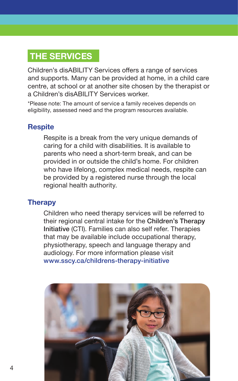# **THE SERVICES**

Children's disABILITY Services offers a range of services and supports. Many can be provided at home, in a child care centre, at school or at another site chosen by the therapist or a Children's disABILITY Services worker.

\*Please note: The amount of service a family receives depends on eligibility, assessed need and the program resources available.

#### **Respite**

Respite is a break from the very unique demands of caring for a child with disabilities. It is available to parents who need a short-term break, and can be provided in or outside the child's home. For children who have lifelong, complex medical needs, respite can be provided by a registered nurse through the local regional health authority.

#### **Therapy**

Children who need therapy services will be referred to their regional central intake for the Children's Therapy Initiative (CTI). Families can also self refer. Therapies that may be available include occupational therapy, physiotherapy, speech and language therapy and audiology. For more information please visit [www.sscy.ca/childrens-therapy-initiative](http://www.sscy.ca/childrens-therapy-initiative)

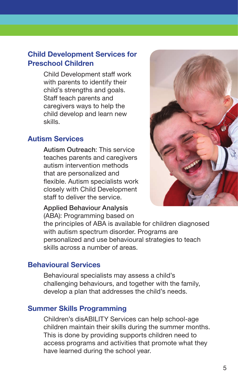## **Child Development Services for Preschool Children**

Child Development staff work with parents to identify their child's strengths and goals. Staff teach parents and caregivers ways to help the child develop and learn new skills.

#### **Autism Services**

Autism Outreach: This service teaches parents and caregivers autism intervention methods that are personalized and flexible. Autism specialists work closely with Child Development staff to deliver the service.



#### Applied Behaviour Analysis

(ABA): Programming based on

the principles of ABA is available for children diagnosed with autism spectrum disorder. Programs are personalized and use behavioural strategies to teach skills across a number of areas.

#### **Behavioural Services**

Behavioural specialists may assess a child's challenging behaviours, and together with the family, develop a plan that addresses the child's needs.

#### **Summer Skills Programming**

Children's disABILITY Services can help school-age children maintain their skills during the summer months. This is done by providing supports children need to access programs and activities that promote what they have learned during the school year.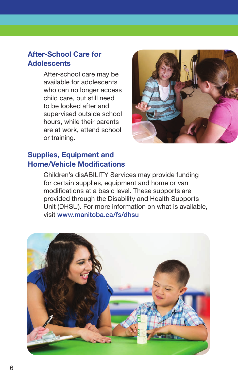## **After-School Care for Adolescents**

After-school care may be available for adolescents who can no longer access child care, but still need to be looked after and supervised outside school hours, while their parents are at work, attend school or training.



## **Supplies, Equipment and Home/Vehicle Modifications**

Children's disABILITY Services may provide funding for certain supplies, equipment and home or van modifications at a basic level. These supports are provided through the Disability and Health Supports Unit (DHSU). For more information on what is available, visit [www.manitoba.ca/fs/dhsu](https://www.manitoba.ca/fs/dhsu)

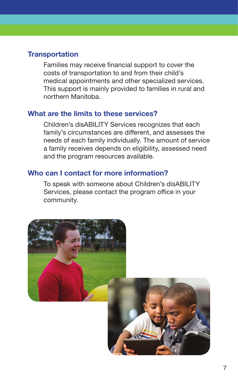#### **Transportation**

Families may receive financial support to cover the costs of transportation to and from their child's medical appointments and other specialized services. This support is mainly provided to families in rural and northern Manitoba.

#### **What are the limits to these services?**

Children's disABILITY Services recognizes that each family's circumstances are different, and assesses the needs of each family individually. The amount of service a family receives depends on eligibility, assessed need and the program resources available.

#### **Who can I contact for more information?**

To speak with someone about Children's disABILITY Services, please contact the program office in your community.

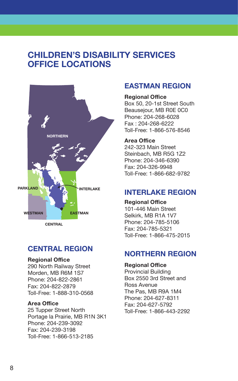# **CHILDREN'S DISABILITY SERVICES OFFICE LOCATIONS**



#### **CENTRAL REGION**

#### **Regional Office**

290 North Railway Street Morden, MB R6M 1S7 Phone: 204-822-2861 Fax: 204-822-2879 Toll-Free: 1-888-310-0568

#### **Area Office**

25 Tupper Street North Portage la Prairie, MB R1N 3K1 Phone: 204-239-3092 Fax: 204-239-3198 Toll-Free: 1-866-513-2185

#### **EASTMAN REGION**

**Regional Office**  Box 50, 20-1st Street South Beausejour, MB R0E 0C0 Phone: 204-268-6028 Fax : 204-268-6222 Toll-Free: 1-866-576-8546

**Area Office**  242-323 Main Street Steinbach, MB R5G 1Z2 Phone: 204-346-6390 Fax: 204-326-9948 Toll-Free: 1-866-682-9782

#### **INTERLAKE REGION**

**Regional Office** 101-446 Main Street Selkirk, MB R1A 1V7 Phone: 204-785-5106 Fax: 204-785-5321 Toll-Free: 1-866-475-2015

#### **NORTHERN REGION**

**Regional Office** 

Provincial Building Box 2550 3rd Street and Ross Avenue The Pas, MB R9A 1M4 Phone: 204-627-8311 Fax: 204-627-5792 Toll-Free: 1-866-443-2292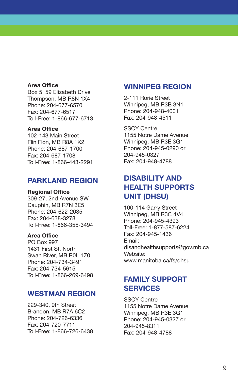#### **Area Office**

Box 5, 59 Elizabeth Drive Thompson, MB R8N 1X4 Phone: 204-677-6570 Fax: 204-677-6517 Toll-Free: 1-866-677-6713

#### **Area Office**

102-143 Main Street Flin Flon, MB R8A 1K2 Phone: 204-687-1700 Fax: 204-687-1708 Toll-Free: 1-866-443-2291

#### **PARKLAND REGION**

**Regional Office**  309-27, 2nd Avenue SW Dauphin, MB R7N 3E5 Phone: 204-622-2035 Fax: 204-638-3278 Toll-Free: 1-866-355-3494

#### **Area Office**

PO Box 997 1431 First St. North Swan River, MB R0L 1Z0 Phone: 204-734-3491 Fax: 204-734-5615 Toll-Free: 1-866-269-6498

#### **WESTMAN REGION**

229-340, 9th Street Brandon, MB R7A 6C2 Phone: 204-726-6336 Fax: 204-720-7711 Toll-Free: 1-866-726-6438

#### **WINNIPEG REGION**

2-111 Rorie Street Winnipeg, MB R3B 3N1 Phone: 204-948-4001 Fax: 204-948-4511

SSCY Centre 1155 Notre Dame Avenue Winnipeg, MB R3E 3G1 Phone: 204-945-0290 or 204-945-0327 Fax: 204-948-4788

## **DISABILITY AND HEALTH SUPPORTS UNIT (DHSU)**

100-114 Garry Street Winnipeg, MB R3C 4V4 Phone: 204-945-4393 Toll-Free: 1-877-587-6224 Fax: 204-945-1436 Email: [disandhealthsupports@gov.mb.ca](mailto:disandhealthsupports@gov.mb.ca  )  Website: [www.manitoba.ca/fs/dhsu](https://www.manitoba.ca/fs/dhsu)

## **FAMILY SUPPORT SERVICES**

SSCY Centre 1155 Notre Dame Avenue Winnipeg, MB R3E 3G1 Phone: 204-945-0327 or 204-945-8311 Fax: 204-948-4788